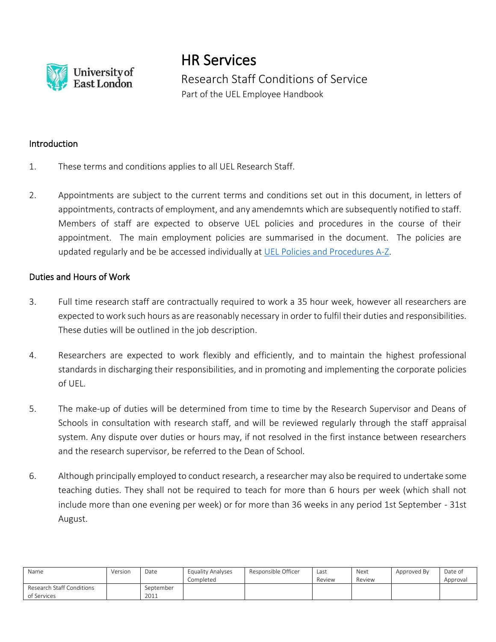

HR Services Research Staff Conditions of Service Part of the UEL Employee Handbook

#### **Introduction**

- 1. These terms and conditions applies to all UEL Research Staff.
- 2. Appointments are subject to the current terms and conditions set out in this document, in letters of appointments, contracts of employment, and any amendemnts which are subsequently notified to staff. Members of staff are expected to observe UEL policies and procedures in the course of their appointment. The main employment policies are summarised in the document. The policies are updated regularly and be be accessed individually at [UEL Policies and Procedures A-Z.](https://uelac.sharepoint.com/sites/hr/SitePages/A-Z-(Employee-Handbook).aspx)

#### Duties and Hours of Work

- 3. Full time research staff are contractually required to work a 35 hour week, however all researchers are expected to work such hours as are reasonably necessary in order to fulfil their duties and responsibilities. These duties will be outlined in the job description.
- 4. Researchers are expected to work flexibly and efficiently, and to maintain the highest professional standards in discharging their responsibilities, and in promoting and implementing the corporate policies of UEL.
- 5. The make-up of duties will be determined from time to time by the Research Supervisor and Deans of Schools in consultation with research staff, and will be reviewed regularly through the staff appraisal system. Any dispute over duties or hours may, if not resolved in the first instance between researchers and the research supervisor, be referred to the Dean of School.
- 6. Although principally employed to conduct research, a researcher may also be required to undertake some teaching duties. They shall not be required to teach for more than 6 hours per week (which shall not include more than one evening per week) or for more than 36 weeks in any period 1st September - 31st August.

| Name                                     | Version | Date              | <b>Equality Analyses</b><br>Completed | Responsible Officer | Last<br>Review | Next<br>Review | Approved By | Date of<br>Approval |
|------------------------------------------|---------|-------------------|---------------------------------------|---------------------|----------------|----------------|-------------|---------------------|
| Research Staff Conditions<br>of Services |         | September<br>2011 |                                       |                     |                |                |             |                     |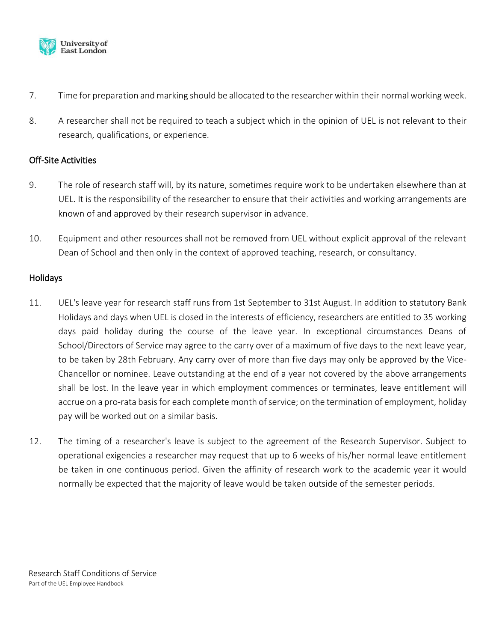

- 7. Time for preparation and marking should be allocated to the researcher within their normal working week.
- 8. A researcher shall not be required to teach a subject which in the opinion of UEL is not relevant to their research, qualifications, or experience.

## Off-Site Activities

- 9. The role of research staff will, by its nature, sometimes require work to be undertaken elsewhere than at UEL. It is the responsibility of the researcher to ensure that their activities and working arrangements are known of and approved by their research supervisor in advance.
- 10. Equipment and other resources shall not be removed from UEL without explicit approval of the relevant Dean of School and then only in the context of approved teaching, research, or consultancy.

# Holidays

- 11. UEL's leave year for research staff runs from 1st September to 31st August. In addition to statutory Bank Holidays and days when UEL is closed in the interests of efficiency, researchers are entitled to 35 working days paid holiday during the course of the leave year. In exceptional circumstances Deans of School/Directors of Service may agree to the carry over of a maximum of five days to the next leave year, to be taken by 28th February. Any carry over of more than five days may only be approved by the Vice-Chancellor or nominee. Leave outstanding at the end of a year not covered by the above arrangements shall be lost. In the leave year in which employment commences or terminates, leave entitlement will accrue on a pro-rata basis for each complete month of service; on the termination of employment, holiday pay will be worked out on a similar basis.
- 12. The timing of a researcher's leave is subject to the agreement of the Research Supervisor. Subject to operational exigencies a researcher may request that up to 6 weeks of his/her normal leave entitlement be taken in one continuous period. Given the affinity of research work to the academic year it would normally be expected that the majority of leave would be taken outside of the semester periods.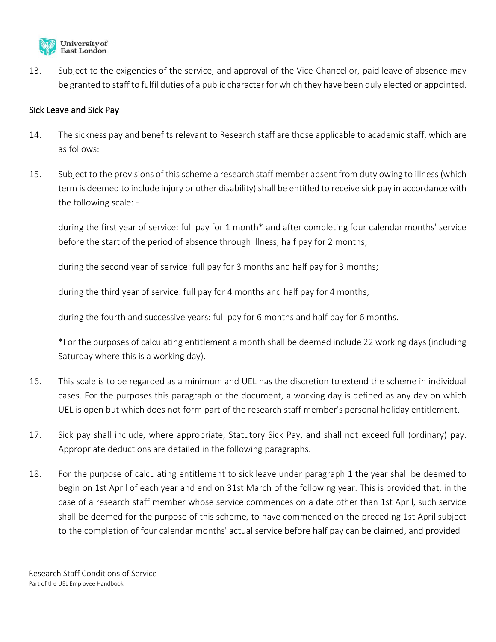

13. Subject to the exigencies of the service, and approval of the Vice-Chancellor, paid leave of absence may be granted to staff to fulfil duties of a public character for which they have been duly elected or appointed.

## Sick Leave and Sick Pay

- 14. The sickness pay and benefits relevant to Research staff are those applicable to academic staff, which are as follows:
- 15. Subject to the provisions of this scheme a research staff member absent from duty owing to illness (which term is deemed to include injury or other disability) shall be entitled to receive sick pay in accordance with the following scale: -

during the first year of service: full pay for 1 month\* and after completing four calendar months' service before the start of the period of absence through illness, half pay for 2 months;

during the second year of service: full pay for 3 months and half pay for 3 months;

during the third year of service: full pay for 4 months and half pay for 4 months;

during the fourth and successive years: full pay for 6 months and half pay for 6 months.

\*For the purposes of calculating entitlement a month shall be deemed include 22 working days (including Saturday where this is a working day).

- 16. This scale is to be regarded as a minimum and UEL has the discretion to extend the scheme in individual cases. For the purposes this paragraph of the document, a working day is defined as any day on which UEL is open but which does not form part of the research staff member's personal holiday entitlement.
- 17. Sick pay shall include, where appropriate, Statutory Sick Pay, and shall not exceed full (ordinary) pay. Appropriate deductions are detailed in the following paragraphs.
- 18. For the purpose of calculating entitlement to sick leave under paragraph 1 the year shall be deemed to begin on 1st April of each year and end on 31st March of the following year. This is provided that, in the case of a research staff member whose service commences on a date other than 1st April, such service shall be deemed for the purpose of this scheme, to have commenced on the preceding 1st April subject to the completion of four calendar months' actual service before half pay can be claimed, and provided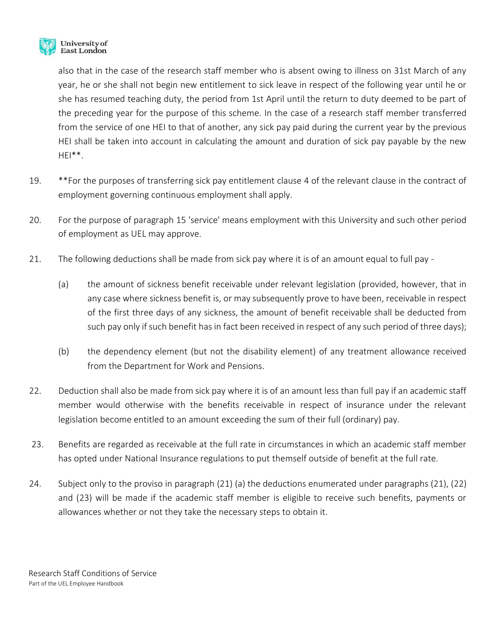

also that in the case of the research staff member who is absent owing to illness on 31st March of any year, he or she shall not begin new entitlement to sick leave in respect of the following year until he or she has resumed teaching duty, the period from 1st April until the return to duty deemed to be part of the preceding year for the purpose of this scheme. In the case of a research staff member transferred from the service of one HEI to that of another, any sick pay paid during the current year by the previous HEI shall be taken into account in calculating the amount and duration of sick pay payable by the new  $HEI**$ .

- 19. \*\*For the purposes of transferring sick pay entitlement clause 4 of the relevant clause in the contract of employment governing continuous employment shall apply.
- 20. For the purpose of paragraph 15 'service' means employment with this University and such other period of employment as UEL may approve.
- 21. The following deductions shall be made from sick pay where it is of an amount equal to full pay
	- (a) the amount of sickness benefit receivable under relevant legislation (provided, however, that in any case where sickness benefit is, or may subsequently prove to have been, receivable in respect of the first three days of any sickness, the amount of benefit receivable shall be deducted from such pay only if such benefit has in fact been received in respect of any such period of three days);
	- (b) the dependency element (but not the disability element) of any treatment allowance received from the Department for Work and Pensions.
- 22. Deduction shall also be made from sick pay where it is of an amount less than full pay if an academic staff member would otherwise with the benefits receivable in respect of insurance under the relevant legislation become entitled to an amount exceeding the sum of their full (ordinary) pay.
- 23. Benefits are regarded as receivable at the full rate in circumstances in which an academic staff member has opted under National Insurance regulations to put themself outside of benefit at the full rate.
- 24. Subject only to the proviso in paragraph (21) (a) the deductions enumerated under paragraphs (21), (22) and (23) will be made if the academic staff member is eligible to receive such benefits, payments or allowances whether or not they take the necessary steps to obtain it.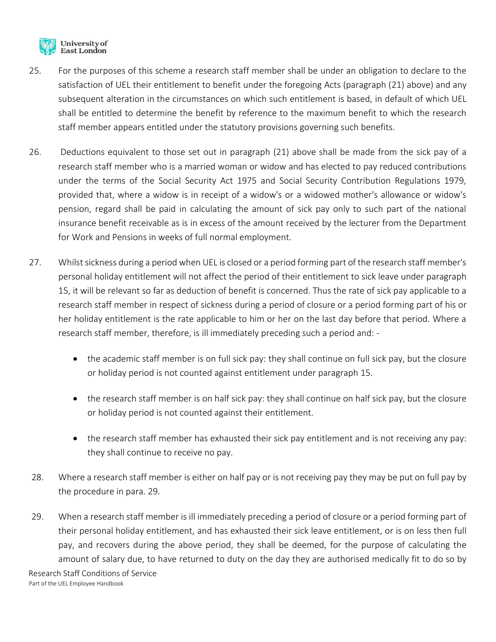

- 25. For the purposes of this scheme a research staff member shall be under an obligation to declare to the satisfaction of UEL their entitlement to benefit under the foregoing Acts (paragraph (21) above) and any subsequent alteration in the circumstances on which such entitlement is based, in default of which UEL shall be entitled to determine the benefit by reference to the maximum benefit to which the research staff member appears entitled under the statutory provisions governing such benefits.
- 26. Deductions equivalent to those set out in paragraph (21) above shall be made from the sick pay of a research staff member who is a married woman or widow and has elected to pay reduced contributions under the terms of the Social Security Act 1975 and Social Security Contribution Regulations 1979, provided that, where a widow is in receipt of a widow's or a widowed mother's allowance or widow's pension, regard shall be paid in calculating the amount of sick pay only to such part of the national insurance benefit receivable as is in excess of the amount received by the lecturer from the Department for Work and Pensions in weeks of full normal employment.
- 27. Whilst sickness during a period when UEL is closed or a period forming part of the research staff member's personal holiday entitlement will not affect the period of their entitlement to sick leave under paragraph 15, it will be relevant so far as deduction of benefit is concerned. Thus the rate of sick pay applicable to a research staff member in respect of sickness during a period of closure or a period forming part of his or her holiday entitlement is the rate applicable to him or her on the last day before that period. Where a research staff member, therefore, is ill immediately preceding such a period and: -
	- the academic staff member is on full sick pay: they shall continue on full sick pay, but the closure or holiday period is not counted against entitlement under paragraph 15.
	- the research staff member is on half sick pay: they shall continue on half sick pay, but the closure or holiday period is not counted against their entitlement.
	- the research staff member has exhausted their sick pay entitlement and is not receiving any pay: they shall continue to receive no pay.
- 28. Where a research staff member is either on half pay or is not receiving pay they may be put on full pay by the procedure in para. 29.
- 29. When a research staff member is ill immediately preceding a period of closure or a period forming part of their personal holiday entitlement, and has exhausted their sick leave entitlement, or is on less then full pay, and recovers during the above period, they shall be deemed, for the purpose of calculating the amount of salary due, to have returned to duty on the day they are authorised medically fit to do so by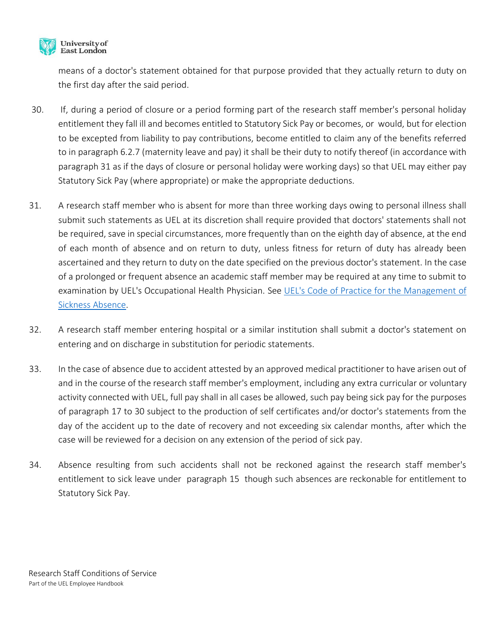

means of a doctor's statement obtained for that purpose provided that they actually return to duty on the first day after the said period.

- 30. If, during a period of closure or a period forming part of the research staff member's personal holiday entitlement they fall ill and becomes entitled to Statutory Sick Pay or becomes, or would, but for election to be excepted from liability to pay contributions, become entitled to claim any of the benefits referred to in paragraph 6.2.7 (maternity leave and pay) it shall be their duty to notify thereof (in accordance with paragraph 31 as if the days of closure or personal holiday were working days) so that UEL may either pay Statutory Sick Pay (where appropriate) or make the appropriate deductions.
- 31. A research staff member who is absent for more than three working days owing to personal illness shall submit such statements as UEL at its discretion shall require provided that doctors' statements shall not be required, save in special circumstances, more frequently than on the eighth day of absence, at the end of each month of absence and on return to duty, unless fitness for return of duty has already been ascertained and they return to duty on the date specified on the previous doctor's statement. In the case of a prolonged or frequent absence an academic staff member may be required at any time to submit to examination by UEL's Occupational Health Physician. See UEL's [Code of Practice for the Management of](https://uelac.sharepoint.com/sites/hr/SitePages/A-Z-(Employee-Handbook).aspx)  [Sickness Absence.](https://uelac.sharepoint.com/sites/hr/SitePages/A-Z-(Employee-Handbook).aspx)
- 32. A research staff member entering hospital or a similar institution shall submit a doctor's statement on entering and on discharge in substitution for periodic statements.
- 33. In the case of absence due to accident attested by an approved medical practitioner to have arisen out of and in the course of the research staff member's employment, including any extra curricular or voluntary activity connected with UEL, full pay shall in all cases be allowed, such pay being sick pay for the purposes of paragraph 17 to 30 subject to the production of self certificates and/or doctor's statements from the day of the accident up to the date of recovery and not exceeding six calendar months, after which the case will be reviewed for a decision on any extension of the period of sick pay.
- 34. Absence resulting from such accidents shall not be reckoned against the research staff member's entitlement to sick leave under paragraph 15 though such absences are reckonable for entitlement to Statutory Sick Pay.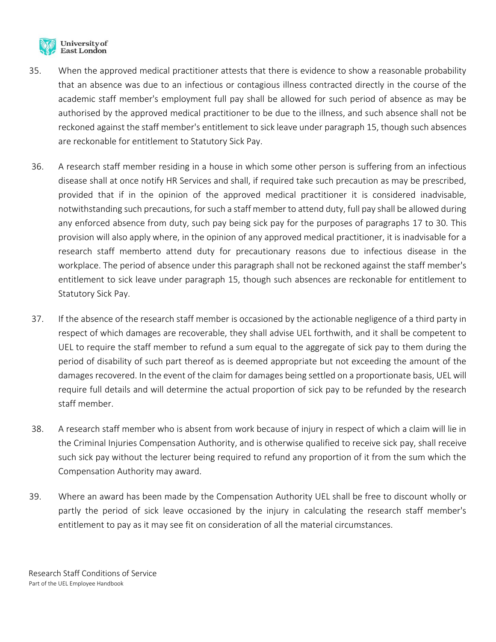

- 35. When the approved medical practitioner attests that there is evidence to show a reasonable probability that an absence was due to an infectious or contagious illness contracted directly in the course of the academic staff member's employment full pay shall be allowed for such period of absence as may be authorised by the approved medical practitioner to be due to the illness, and such absence shall not be reckoned against the staff member's entitlement to sick leave under paragraph 15, though such absences are reckonable for entitlement to Statutory Sick Pay.
- 36. A research staff member residing in a house in which some other person is suffering from an infectious disease shall at once notify HR Services and shall, if required take such precaution as may be prescribed, provided that if in the opinion of the approved medical practitioner it is considered inadvisable, notwithstanding such precautions, for such a staff member to attend duty, full pay shall be allowed during any enforced absence from duty, such pay being sick pay for the purposes of paragraphs 17 to 30. This provision will also apply where, in the opinion of any approved medical practitioner, it is inadvisable for a research staff memberto attend duty for precautionary reasons due to infectious disease in the workplace. The period of absence under this paragraph shall not be reckoned against the staff member's entitlement to sick leave under paragraph 15, though such absences are reckonable for entitlement to Statutory Sick Pay.
- 37. If the absence of the research staff member is occasioned by the actionable negligence of a third party in respect of which damages are recoverable, they shall advise UEL forthwith, and it shall be competent to UEL to require the staff member to refund a sum equal to the aggregate of sick pay to them during the period of disability of such part thereof as is deemed appropriate but not exceeding the amount of the damages recovered. In the event of the claim for damages being settled on a proportionate basis, UEL will require full details and will determine the actual proportion of sick pay to be refunded by the research staff member.
- 38. A research staff member who is absent from work because of injury in respect of which a claim will lie in the Criminal Injuries Compensation Authority, and is otherwise qualified to receive sick pay, shall receive such sick pay without the lecturer being required to refund any proportion of it from the sum which the Compensation Authority may award.
- 39. Where an award has been made by the Compensation Authority UEL shall be free to discount wholly or partly the period of sick leave occasioned by the injury in calculating the research staff member's entitlement to pay as it may see fit on consideration of all the material circumstances.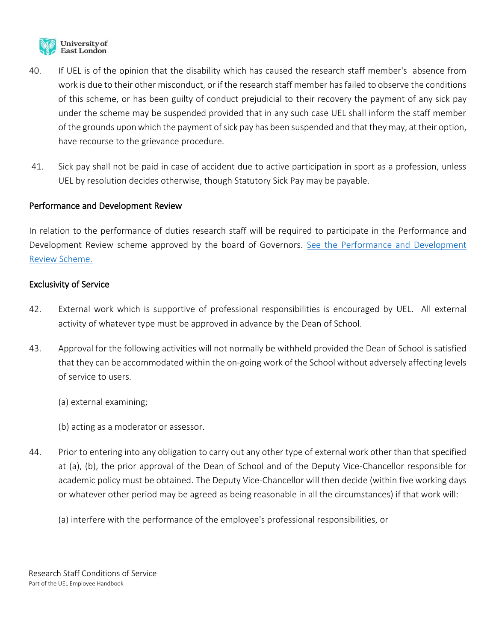

- 40. If UEL is of the opinion that the disability which has caused the research staff member's absence from work is due to their other misconduct, or if the research staff member has failed to observe the conditions of this scheme, or has been guilty of conduct prejudicial to their recovery the payment of any sick pay under the scheme may be suspended provided that in any such case UEL shall inform the staff member of the grounds upon which the payment of sick pay has been suspended and that they may, at their option, have recourse to the grievance procedure.
- 41. Sick pay shall not be paid in case of accident due to active participation in sport as a profession, unless UEL by resolution decides otherwise, though Statutory Sick Pay may be payable.

#### Performance and Development Review

In relation to the performance of duties research staff will be required to participate in the Performance and Development Review scheme approved by the board of Governors. [See the Performance and](https://uelac.sharepoint.com/sites/hr/SitePages/A-Z-(Employee-Handbook).aspx) Development [Review Scheme.](https://uelac.sharepoint.com/sites/hr/SitePages/A-Z-(Employee-Handbook).aspx)

## Exclusivity of Service

- 42. External work which is supportive of professional responsibilities is encouraged by UEL. All external activity of whatever type must be approved in advance by the Dean of School.
- 43. Approval for the following activities will not normally be withheld provided the Dean of School is satisfied that they can be accommodated within the on-going work of the School without adversely affecting levels of service to users.
	- (a) external examining;
	- (b) acting as a moderator or assessor.
- 44. Prior to entering into any obligation to carry out any other type of external work other than that specified at (a), (b), the prior approval of the Dean of School and of the Deputy Vice-Chancellor responsible for academic policy must be obtained. The Deputy Vice-Chancellor will then decide (within five working days or whatever other period may be agreed as being reasonable in all the circumstances) if that work will:
	- (a) interfere with the performance of the employee's professional responsibilities, or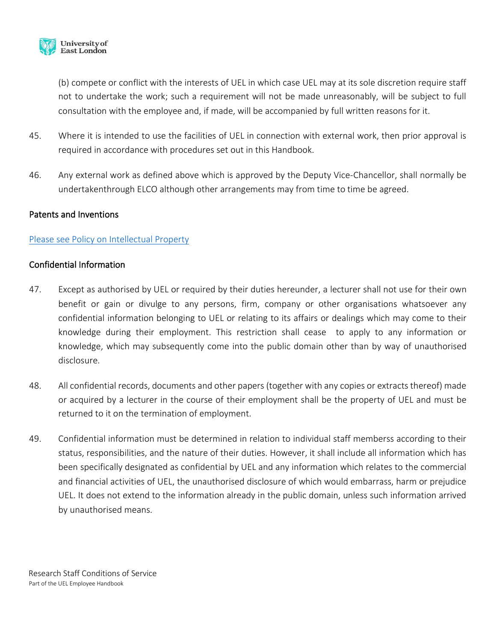

(b) compete or conflict with the interests of UEL in which case UEL may at its sole discretion require staff not to undertake the work; such a requirement will not be made unreasonably, will be subject to full consultation with the employee and, if made, will be accompanied by full written reasons for it.

- 45. Where it is intended to use the facilities of UEL in connection with external work, then prior approval is required in accordance with procedures set out in this Handbook.
- 46. Any external work as defined above which is approved by the Deputy Vice-Chancellor, shall normally be undertakenthrough ELCO although other arrangements may from time to time be agreed.

## Patents and Inventions

## [Please see Policy on Intellectual Property](https://uelac.sharepoint.com/:b:/r/sites/hr/Shared%20Documents/Policies%202020/intellectual_property.pdf?csf=1&web=1&e=Q9Axok)

### Confidential Information

- 47. Except as authorised by UEL or required by their duties hereunder, a lecturer shall not use for their own benefit or gain or divulge to any persons, firm, company or other organisations whatsoever any confidential information belonging to UEL or relating to its affairs or dealings which may come to their knowledge during their employment. This restriction shall cease to apply to any information or knowledge, which may subsequently come into the public domain other than by way of unauthorised disclosure.
- 48. All confidential records, documents and other papers (together with any copies or extracts thereof) made or acquired by a lecturer in the course of their employment shall be the property of UEL and must be returned to it on the termination of employment.
- 49. Confidential information must be determined in relation to individual staff memberss according to their status, responsibilities, and the nature of their duties. However, it shall include all information which has been specifically designated as confidential by UEL and any information which relates to the commercial and financial activities of UEL, the unauthorised disclosure of which would embarrass, harm or prejudice UEL. It does not extend to the information already in the public domain, unless such information arrived by unauthorised means.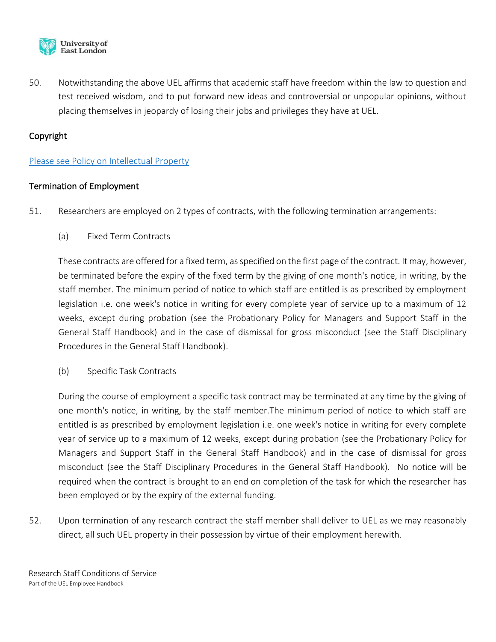

50. Notwithstanding the above UEL affirms that academic staff have freedom within the law to question and test received wisdom, and to put forward new ideas and controversial or unpopular opinions, without placing themselves in jeopardy of losing their jobs and privileges they have at UEL.

# Copyright

## [Please see Policy on Intellectual Property](https://uelac.sharepoint.com/:b:/r/sites/hr/Shared%20Documents/Policies%202020/intellectual_property.pdf?csf=1&web=1&e=Q9Axok)

# Termination of Employment

- 51. Researchers are employed on 2 types of contracts, with the following termination arrangements:
	- (a) Fixed Term Contracts

These contracts are offered for a fixed term, as specified on the first page of the contract. It may, however, be terminated before the expiry of the fixed term by the giving of one month's notice, in writing, by the staff member. The minimum period of notice to which staff are entitled is as prescribed by employment legislation i.e. one week's notice in writing for every complete year of service up to a maximum of 12 weeks, except during probation (see the Probationary Policy for Managers and Support Staff in the General Staff Handbook) and in the case of dismissal for gross misconduct (see the Staff Disciplinary Procedures in the General Staff Handbook).

(b) Specific Task Contracts

During the course of employment a specific task contract may be terminated at any time by the giving of one month's notice, in writing, by the staff member.The minimum period of notice to which staff are entitled is as prescribed by employment legislation i.e. one week's notice in writing for every complete year of service up to a maximum of 12 weeks, except during probation (see the Probationary Policy for Managers and Support Staff in the General Staff Handbook) and in the case of dismissal for gross misconduct (see the Staff Disciplinary Procedures in the General Staff Handbook). No notice will be required when the contract is brought to an end on completion of the task for which the researcher has been employed or by the expiry of the external funding.

52. Upon termination of any research contract the staff member shall deliver to UEL as we may reasonably direct, all such UEL property in their possession by virtue of their employment herewith.